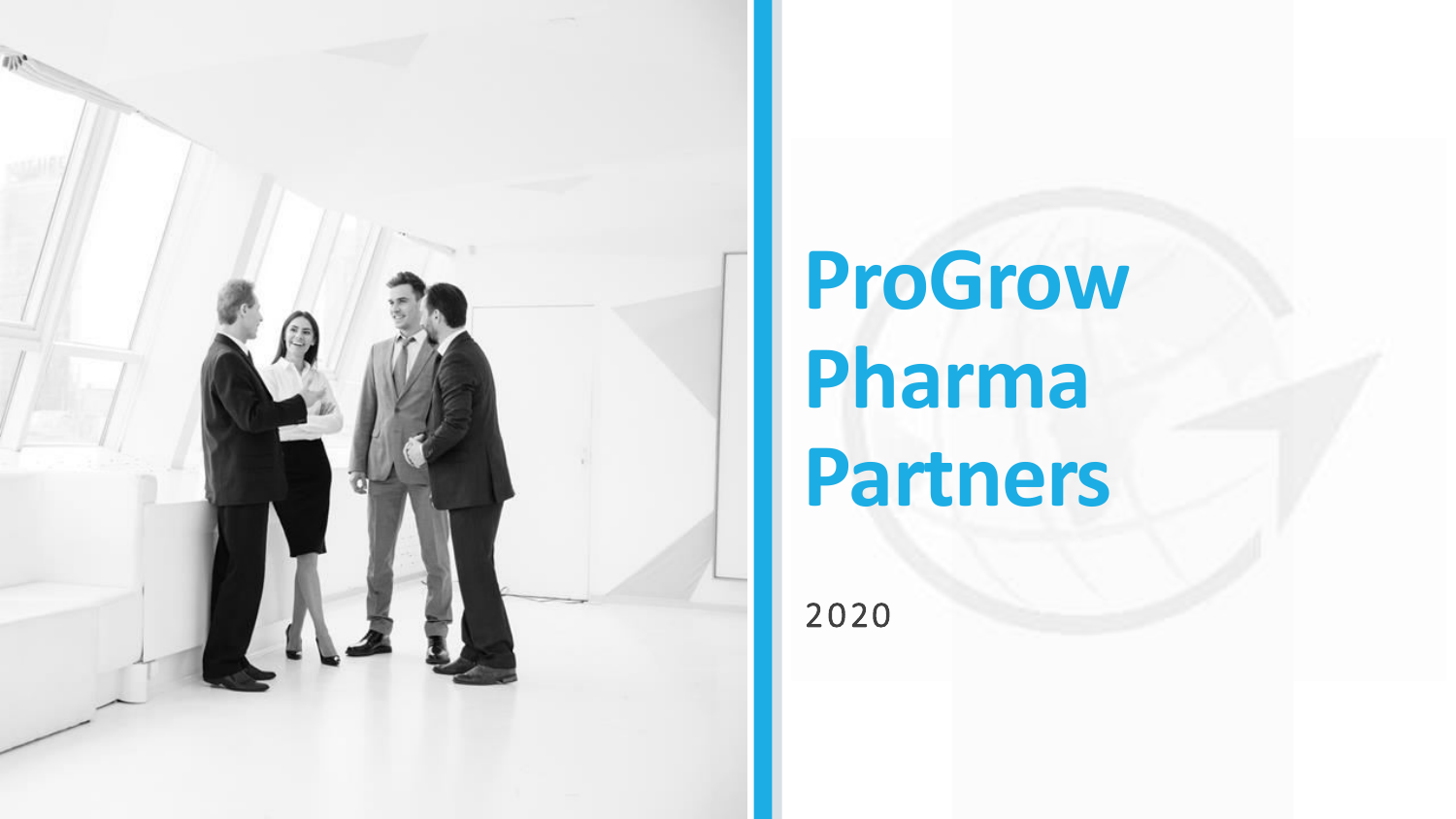

# **ProGrow Pharma Partners**

2020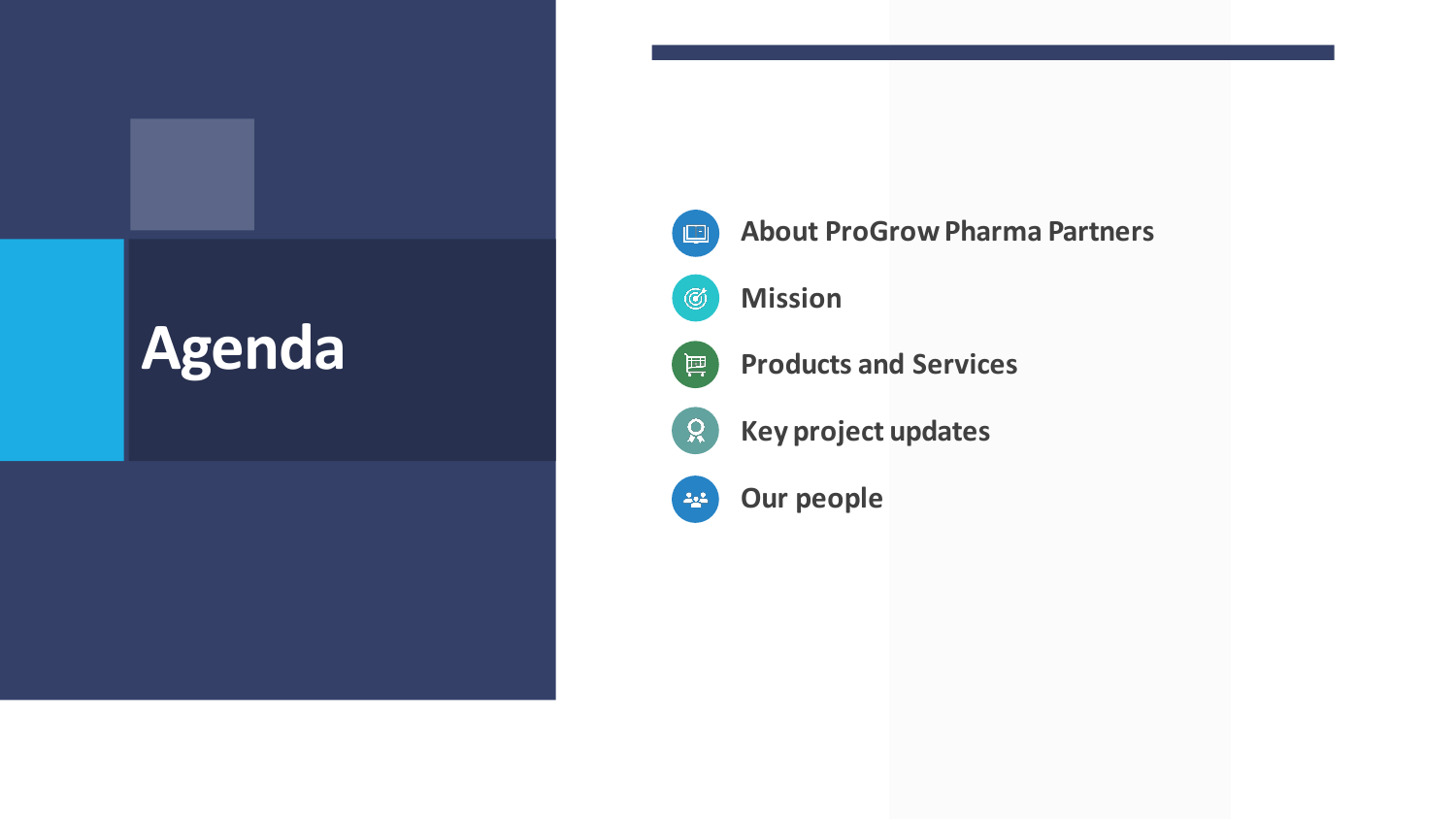#### **Agenda**



**About ProGrow Pharma Partners** 



**Mission** 



**Products and Services** 

**Key project updates** 



 $Q$ 

**Our people**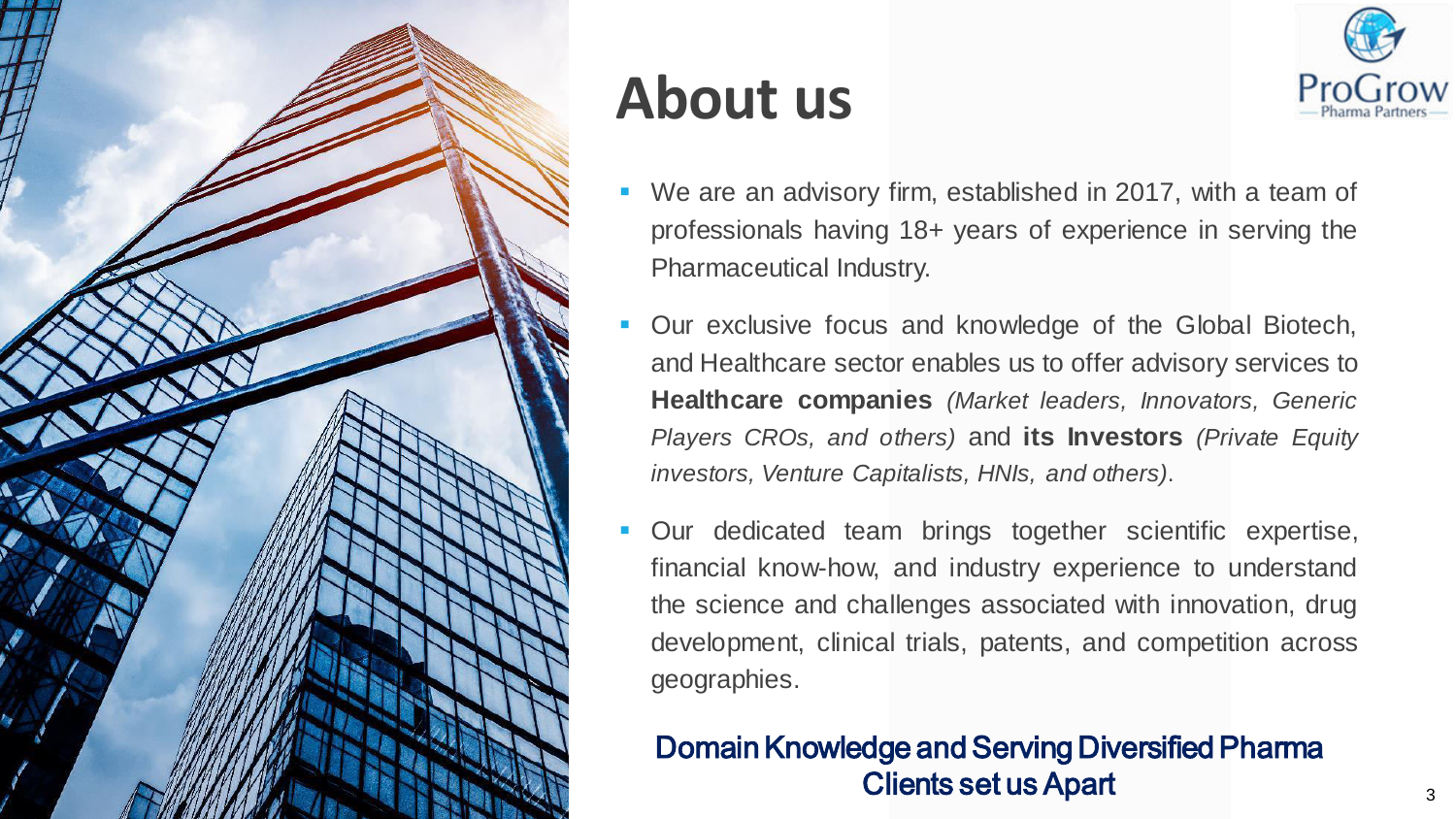

#### **About us**



- We are an advisory firm, established in 2017, with a team of professionals having 18+ years of experience in serving the Pharmaceutical Industry.
- Our exclusive focus and knowledge of the Global Biotech, and Healthcare sector enables us to offer advisory services to **Healthcare companies** *(Market leaders, Innovators, Generic Players CROs, and others)* and **its Investors** *(Private Equity investors, Venture Capitalists, HNIs, and others)*.
- Our dedicated team brings together scientific expertise, financial know-how, and industry experience to understand the science and challenges associated with innovation, drug development, clinical trials, patents, and competition across geographies.

#### Domain Knowledge and Serving Diversified Pharma Clients set us Apart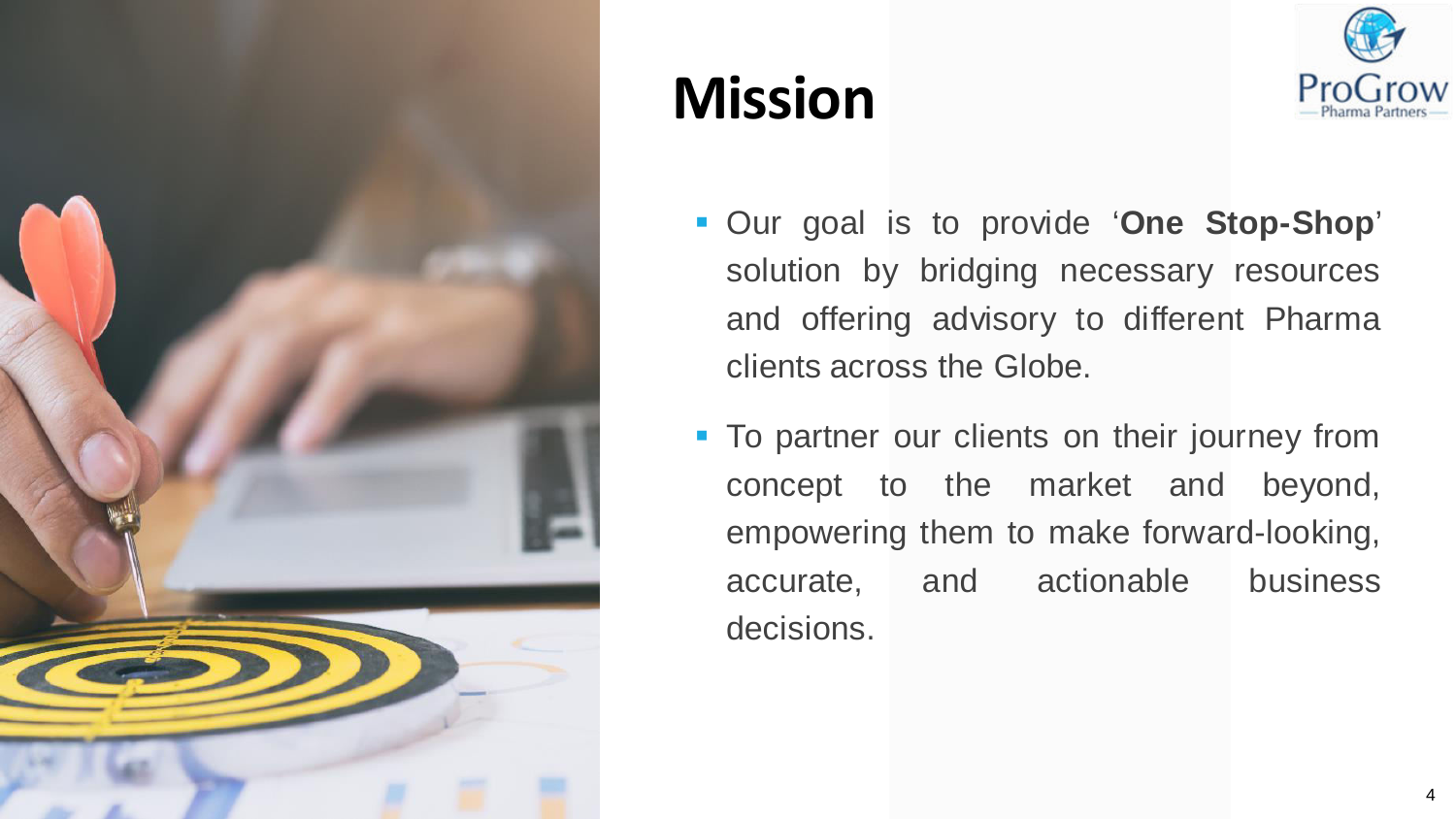

#### **Mission**



- Our goal is to provide '**One Stop-Shop**' solution by bridging necessary resources and offering advisory to different Pharma clients across the Globe.
- **To partner our clients on their journey from** concept to the market and beyond, empowering them to make forward-looking, accurate, and actionable business decisions.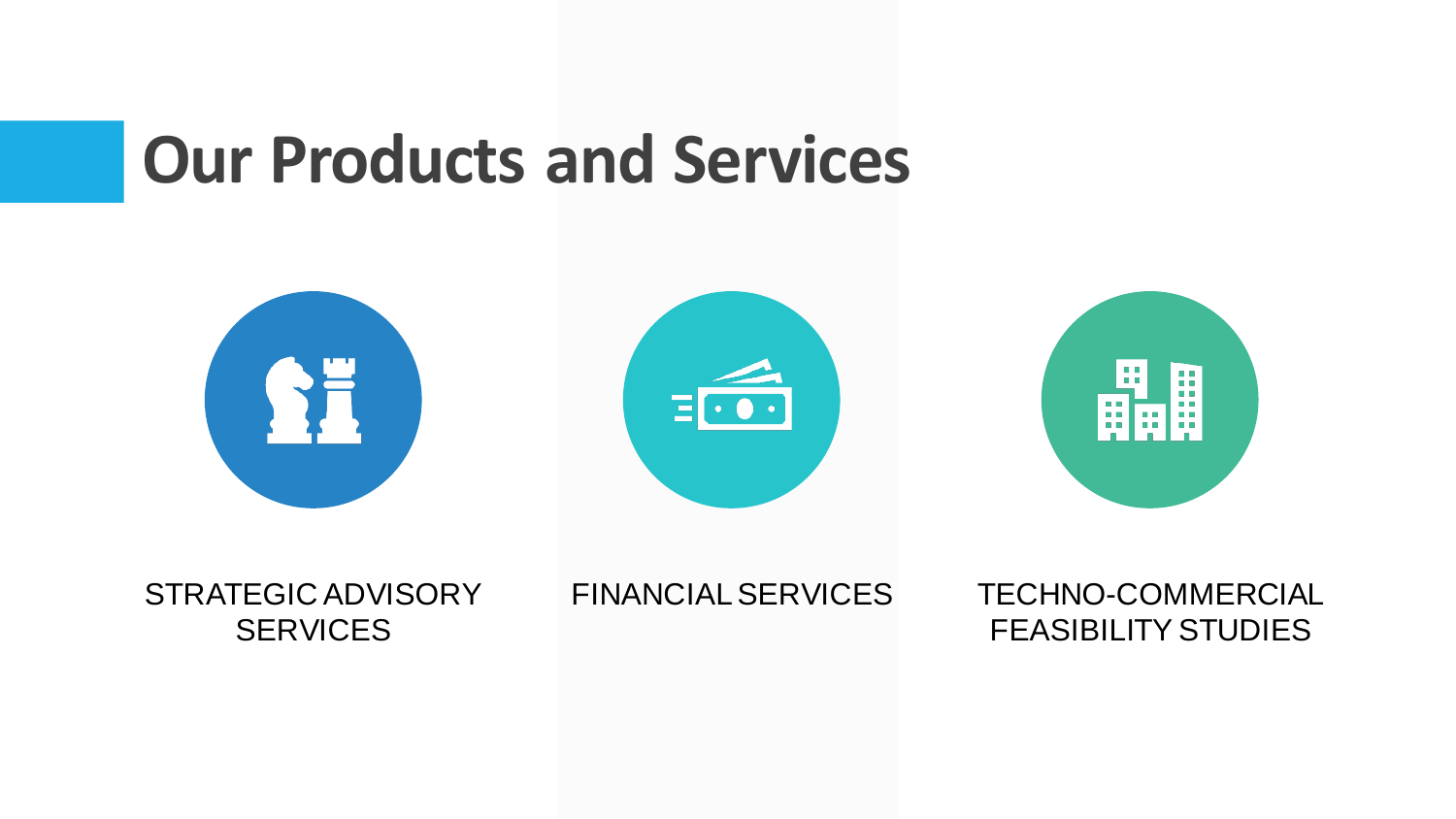### **Our Products and Services**



STRATEGIC ADVISORY **SERVICES** 

FINANCIAL SERVICES TECHNO-COMMERCIAL FEASIBILITY STUDIES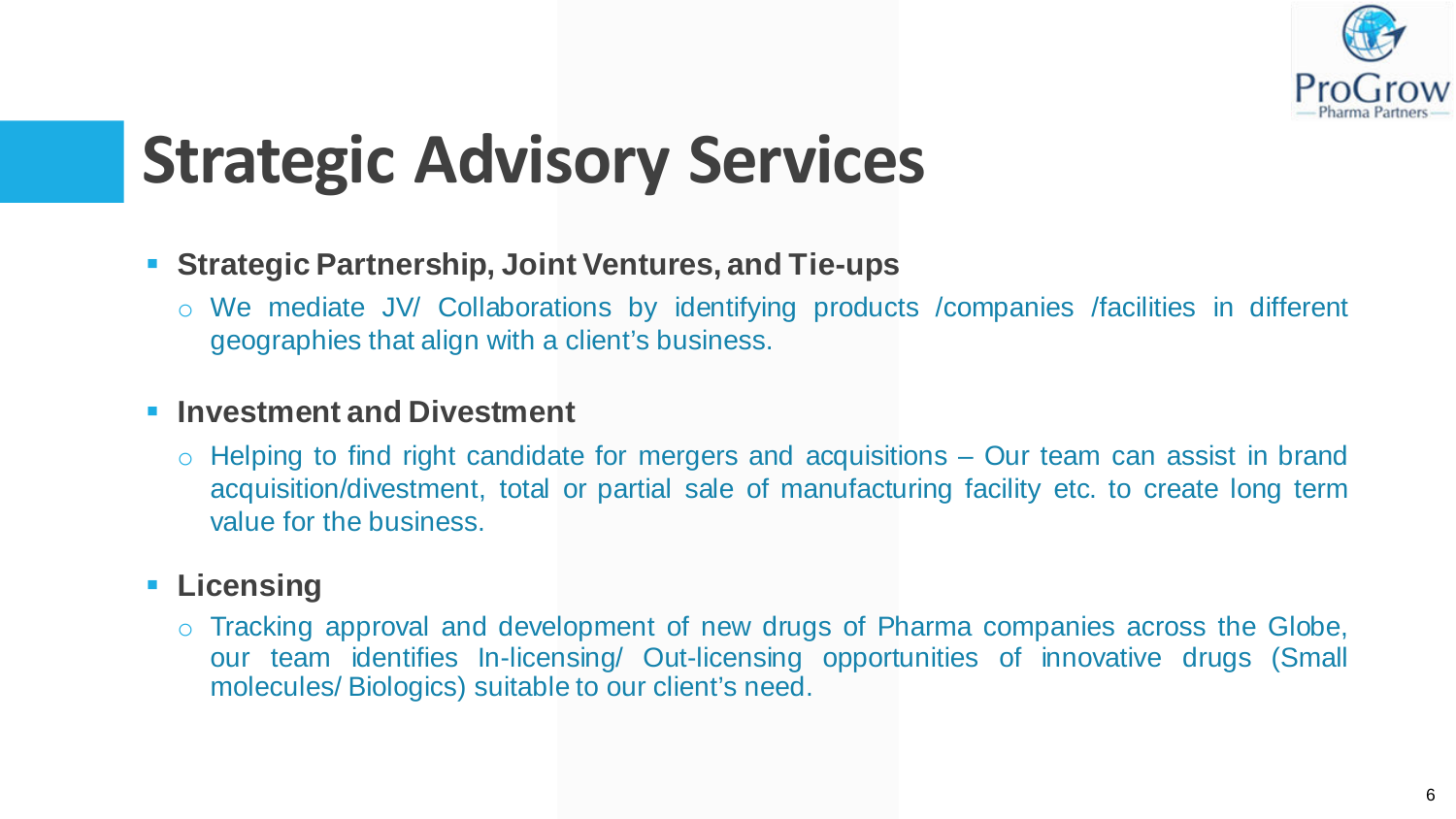

# **Strategic Advisory Services**

- **Strategic Partnership, Joint Ventures, and Tie-ups** 
	- o We mediate JV/ Collaborations by identifying products /companies /facilities in different geographies that align with a client's business.

#### **Investment and Divestment**

 $\circ$  Helping to find right candidate for mergers and acquisitions – Our team can assist in brand acquisition/divestment, total or partial sale of manufacturing facility etc. to create long term value for the business.

#### **- Licensing**

o Tracking approval and development of new drugs of Pharma companies across the Globe, our team identifies In-licensing/ Out-licensing opportunities of innovative drugs (Small molecules/ Biologics) suitable to our client's need.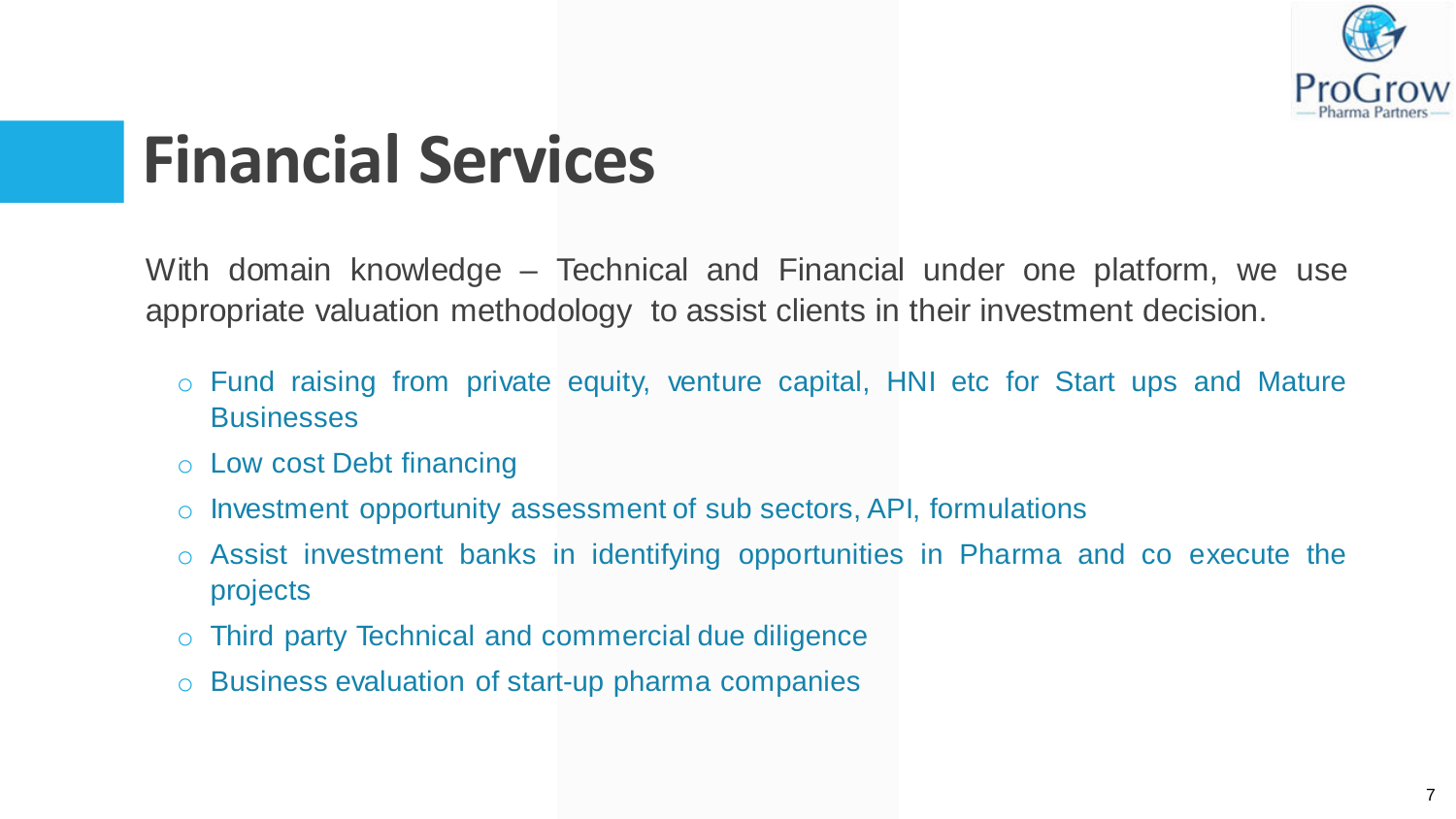

### **Financial Services**

With domain knowledge – Technical and Financial under one platform, we use appropriate valuation methodology to assist clients in their investment decision.

- o Fund raising from private equity, venture capital, HNI etc for Start ups and Mature **Businesses**
- o Low cost Debt financing
- o Investment opportunity assessment of sub sectors, API, formulations
- o Assist investment banks in identifying opportunities in Pharma and co execute the projects
- Third party Technical and commercial due diligence
- Business evaluation of start-up pharma companies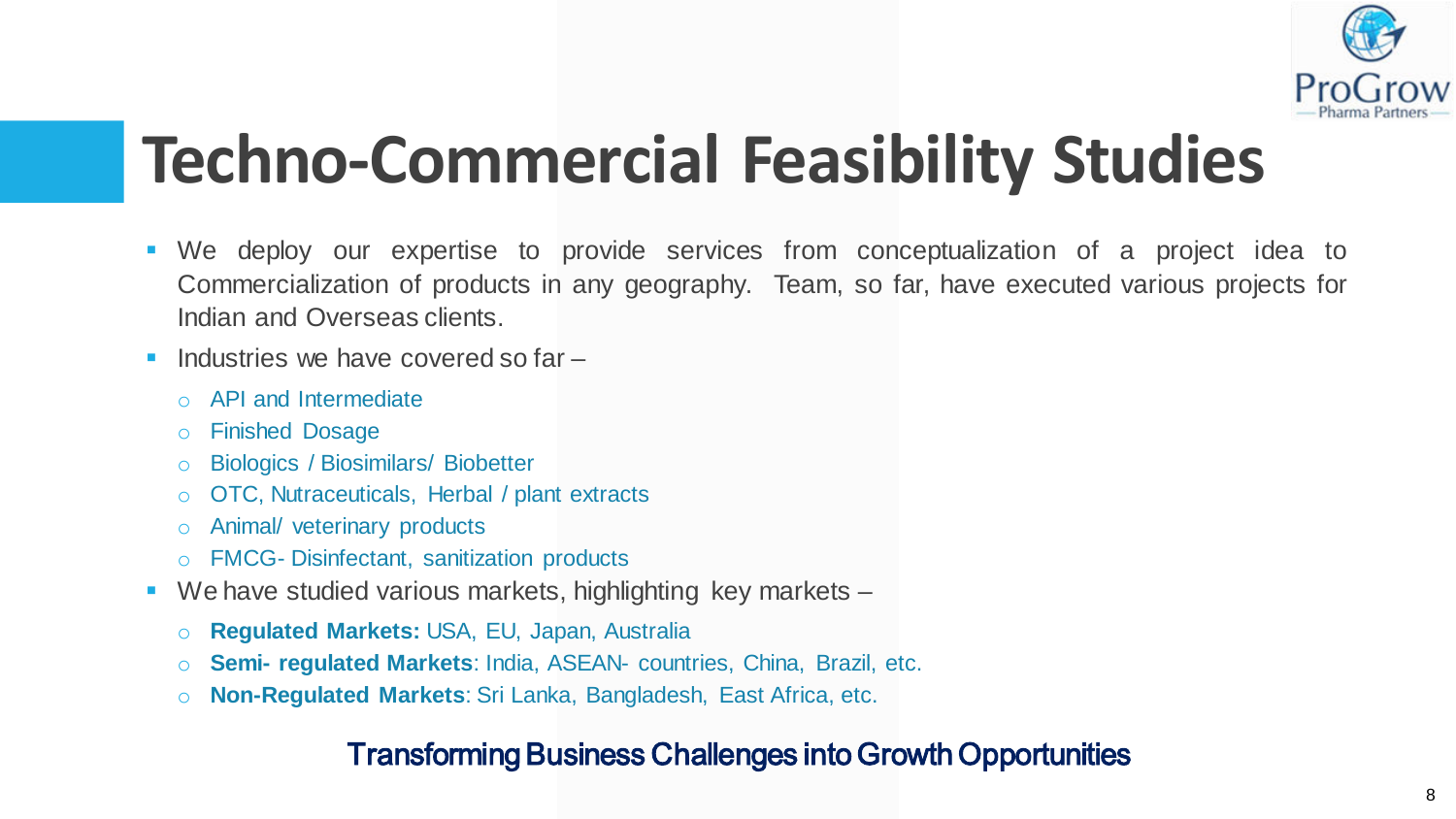

# **Techno-Commercial Feasibility Studies**

- We deploy our expertise to provide services from conceptualization of a project idea to Commercialization of products in any geography. Team, so far, have executed various projects for Indian and Overseas clients.
- $\blacksquare$  Industries we have covered so far  $\blacksquare$ 
	- o API and Intermediate
	- o Finished Dosage
	- o Biologics / Biosimilars/ Biobetter
	- o OTC, Nutraceuticals, Herbal / plant extracts
	- o Animal/ veterinary products
	- o FMCG- Disinfectant, sanitization products
- We have studied various markets, highlighting key markets
	- o **Regulated Markets:** USA, EU, Japan, Australia
	- o **Semi- regulated Markets**: India, ASEAN- countries, China, Brazil, etc.
	- o **Non-Regulated Markets**: Sri Lanka, Bangladesh, East Africa, etc.

#### Transforming Business Challenges into Growth Opportunities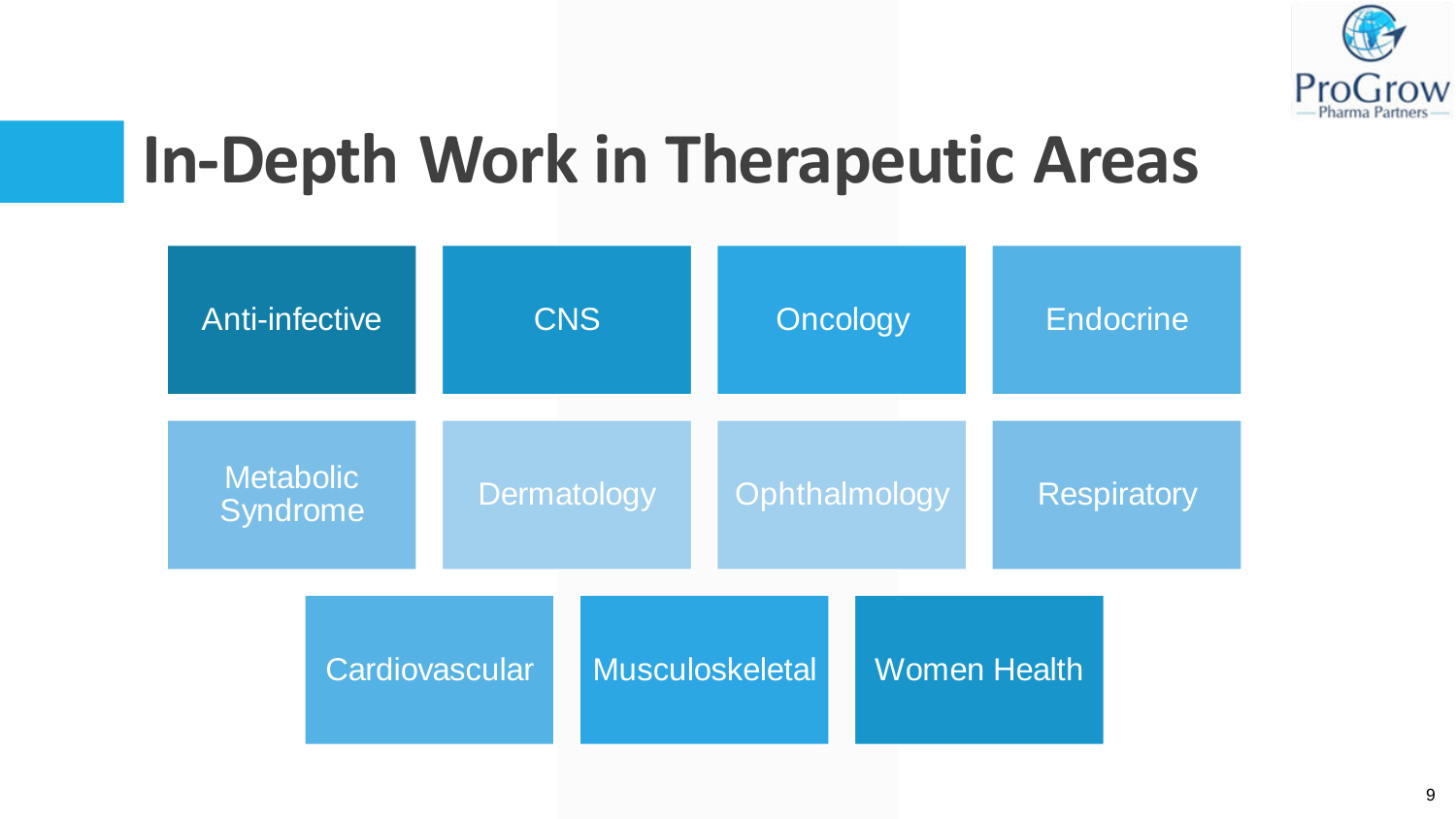

### **In-Depth Work in Therapeutic Areas**

| <b>Anti-infective</b>        |                | <b>CNS</b>         |                 | Oncology      |  | <b>Endocrine</b>   |  |
|------------------------------|----------------|--------------------|-----------------|---------------|--|--------------------|--|
| <b>Metabolic</b><br>Syndrome |                | <b>Dermatology</b> |                 | Ophthalmology |  | <b>Respiratory</b> |  |
|                              | Cardiovascular |                    | Musculoskeletal |               |  | Women Health       |  |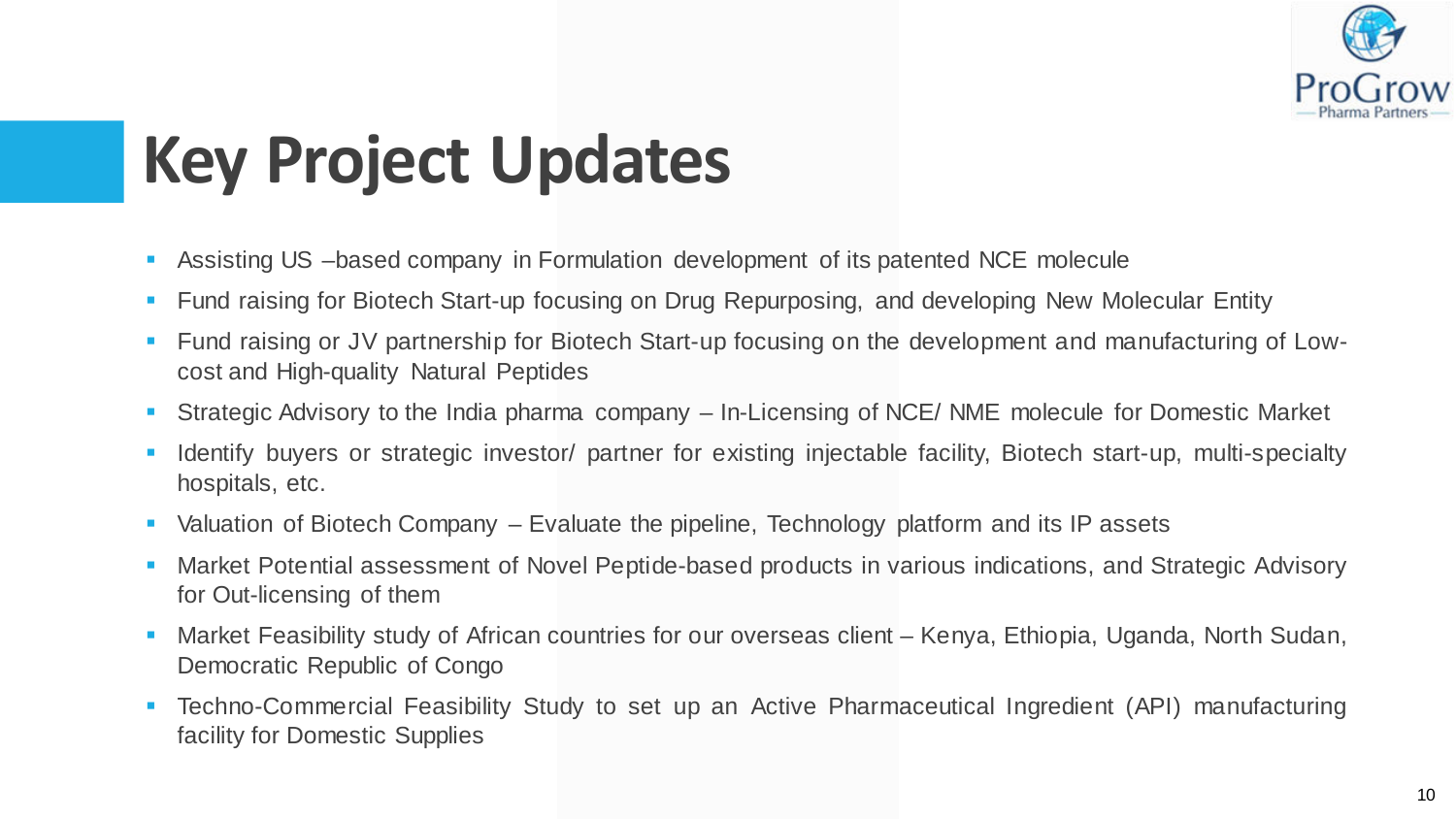

# **Key Project Updates**

- Assisting US –based company in Formulation development of its patented NCE molecule
- **Fund raising for Biotech Start-up focusing on Drug Repurposing, and developing New Molecular Entity**
- Fund raising or JV partnership for Biotech Start-up focusing on the development and manufacturing of Lowcost and High-quality Natural Peptides
- Strategic Advisory to the India pharma company In-Licensing of NCE/ NME molecule for Domestic Market
- **IDENTIFY IDENTIFY IS A SETT CONCIDENT IN A SETT IS CONCIDENT** IDENTIFY IS Interpresently in the Identify **I** Identify buyers or strategic investor/ partner for existing injectable facility, Biotech start-up, multi-special hospitals, etc.
- Valuation of Biotech Company Evaluate the pipeline, Technology platform and its IP assets
- Market Potential assessment of Novel Peptide-based products in various indications, and Strategic Advisory for Out-licensing of them
- Market Feasibility study of African countries for our overseas client Kenya, Ethiopia, Uganda, North Sudan, Democratic Republic of Congo
- Techno-Commercial Feasibility Study to set up an Active Pharmaceutical Ingredient (API) manufacturing facility for Domestic Supplies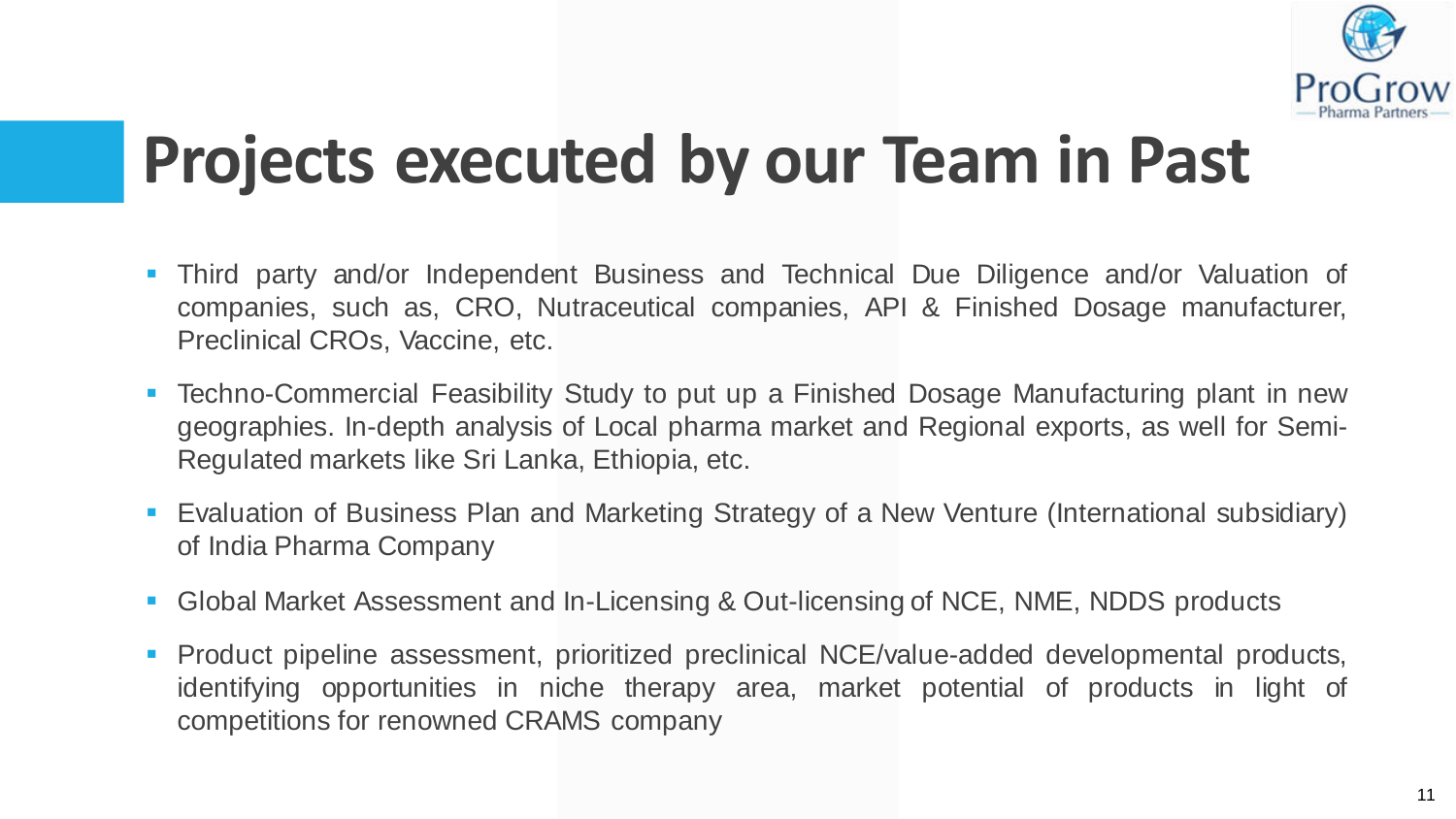

### **Projects executed by our Team in Past**

- Third party and/or Independent Business and Technical Due Diligence and/or Valuation of companies, such as, CRO, Nutraceutical companies, API & Finished Dosage manufacturer, Preclinical CROs, Vaccine, etc.
- Techno-Commercial Feasibility Study to put up a Finished Dosage Manufacturing plant in new geographies. In-depth analysis of Local pharma market and Regional exports, as well for Semi-Regulated markets like Sri Lanka, Ethiopia, etc.
- Evaluation of Business Plan and Marketing Strategy of a New Venture (International subsidiary) of India Pharma Company
- Global Market Assessment and In-Licensing & Out-licensing of NCE, NME, NDDS products
- **Product pipeline assessment, prioritized preclinical NCE/value-added developmental products,** identifying opportunities in niche therapy area, market potential of products in light of competitions for renowned CRAMS company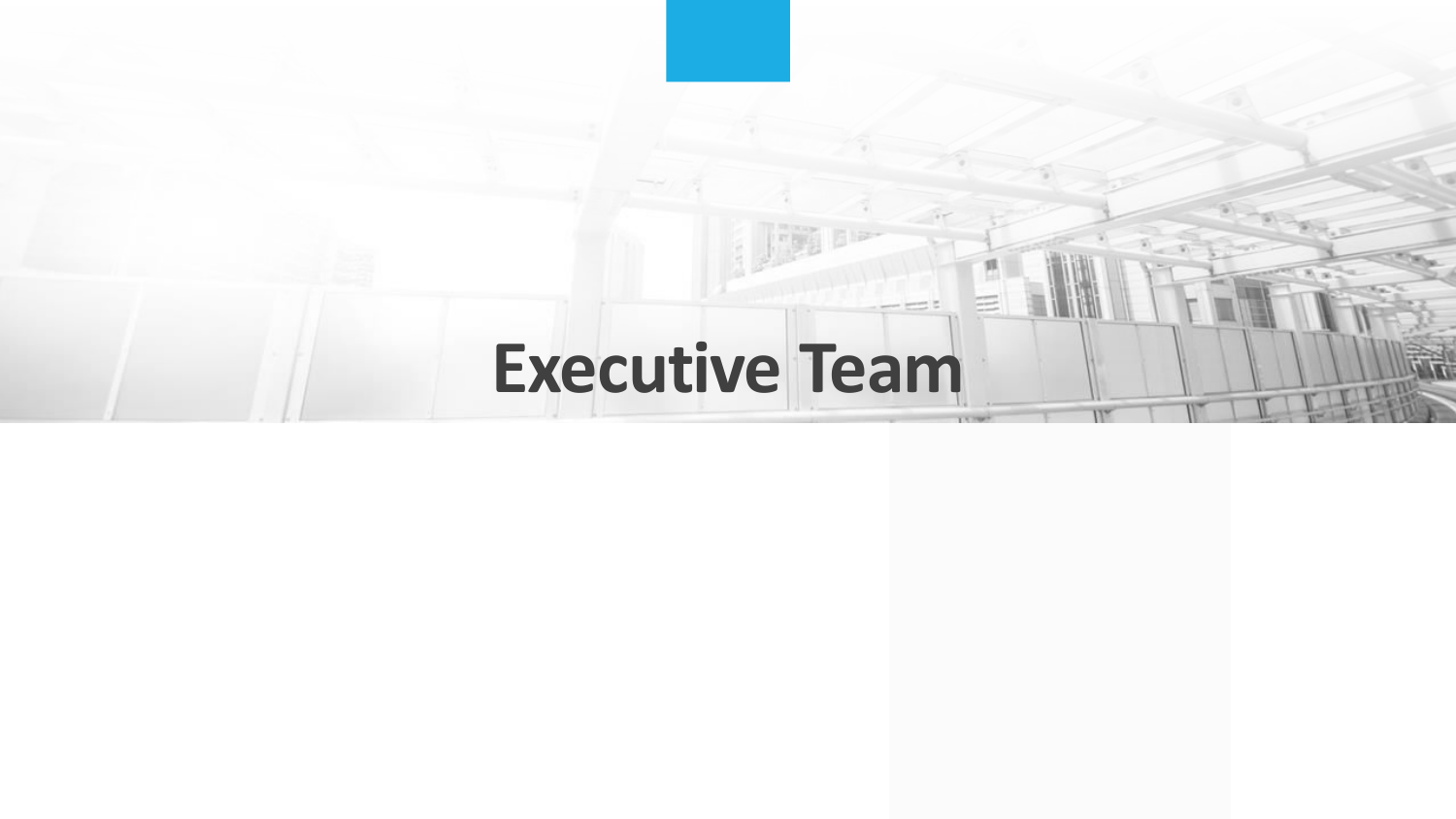### Executive **Team**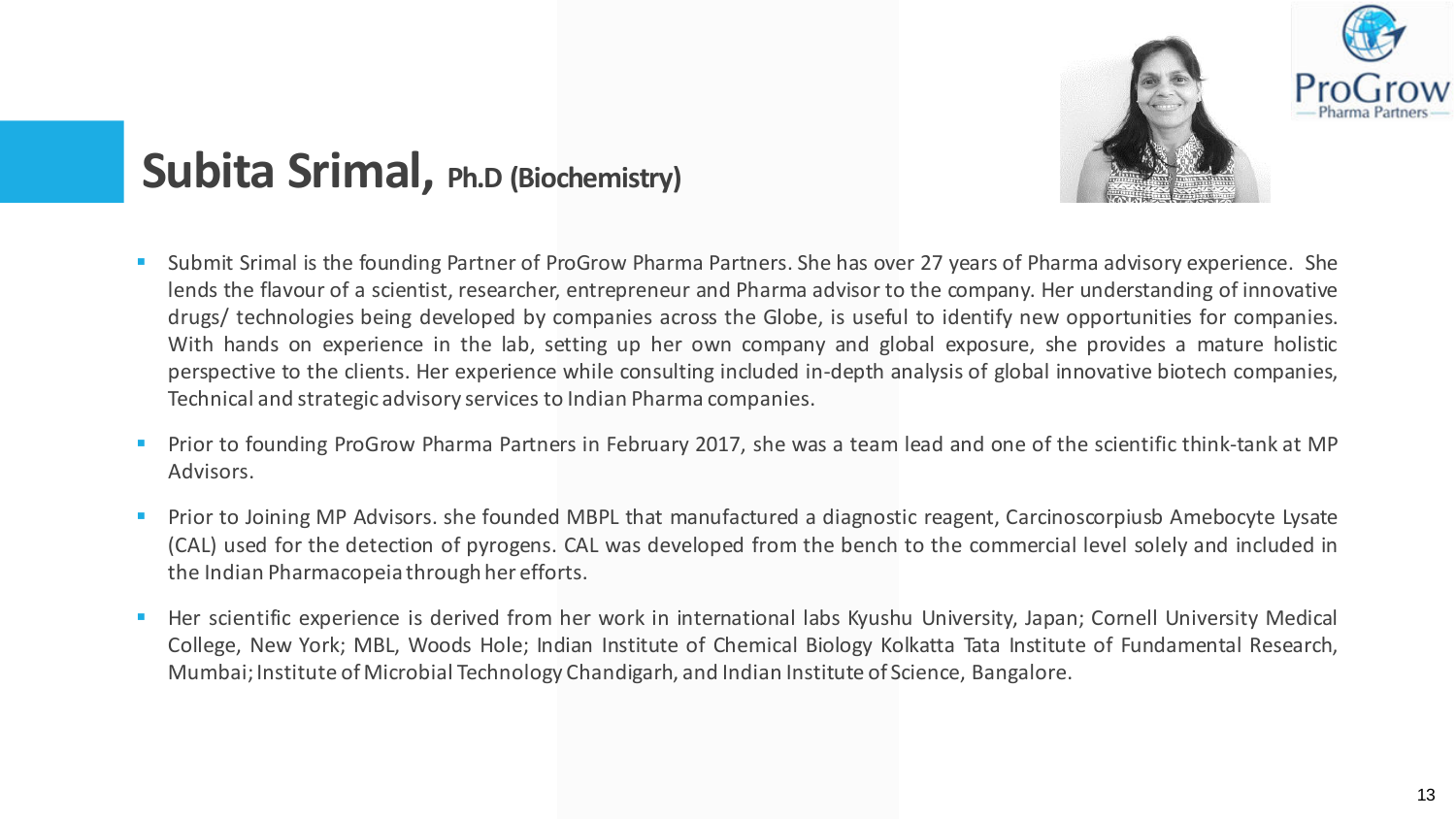

#### **Subita Srimal, Ph.D (Biochemistry)**

- Submit Srimal is the founding Partner of ProGrow Pharma Partners. She has over 27 years of Pharma advisory experience. She lends the flavour of a scientist, researcher, entrepreneur and Pharma advisor to the company. Her understanding of innovative drugs/ technologies being developed by companies across the Globe, is useful to identify new opportunities for companies. With hands on experience in the lab, setting up her own company and global exposure, she provides a mature holistic perspective to the clients. Her experience while consulting included in-depth analysis of global innovative biotech companies, Technical and strategic advisory services to Indian Pharma companies.
- Prior to founding ProGrow Pharma Partners in February 2017, she was a team lead and one of the scientific think-tank at MP Advisors.
- Prior to Joining MP Advisors. she founded MBPL that manufactured a diagnostic reagent, Carcinoscorpiusb Amebocyte Lysate (CAL) used for the detection of pyrogens. CAL was developed from the bench to the commercial level solely and included in the Indian Pharmacopeia through her efforts.
- Her scientific experience is derived from her work in international labs Kyushu University, Japan; Cornell University Medical College, New York; MBL, Woods Hole; Indian Institute of Chemical Biology Kolkatta Tata Institute of Fundamental Research, Mumbai; Institute of Microbial Technology Chandigarh, and Indian Institute of Science, Bangalore.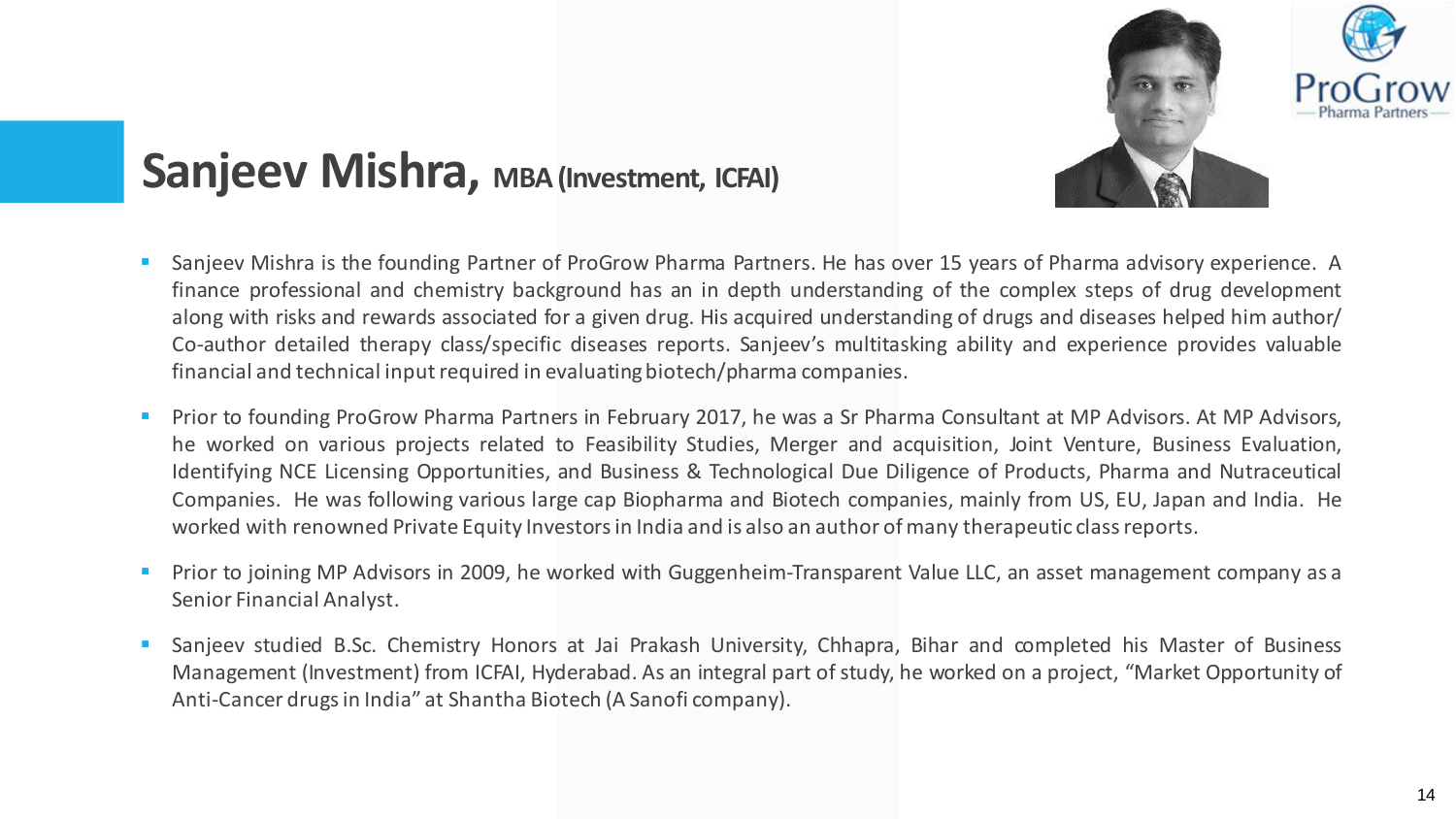

#### **Sanjeev Mishra, MBA (Investment, ICFAI)**

- Sanjeev Mishra is the founding Partner of ProGrow Pharma Partners. He has over 15 years of Pharma advisory experience. A finance professional and chemistry background has an in depth understanding of the complex steps of drug development along with risks and rewards associated for a given drug. His acquired understanding of drugs and diseases helped him author/ Co-author detailed therapy class/specific diseases reports. Sanjeev's multitasking ability and experience provides valuable financial and technical input required in evaluating biotech/pharma companies.
- **Prior to founding ProGrow Pharma Partners in February 2017, he was a Sr Pharma Consultant at MP Advisors. At MP Advisors,** he worked on various projects related to Feasibility Studies, Merger and acquisition, Joint Venture, Business Evaluation, Identifying NCE Licensing Opportunities, and Business & Technological Due Diligence of Products, Pharma and Nutraceutical Companies. He was following various large cap Biopharma and Biotech companies, mainly from US, EU, Japan and India. He worked with renowned Private Equity Investors in India and is also an author of many therapeutic class reports.
- **Prior to joining MP Advisors in 2009, he worked with Guggenheim-Transparent Value LLC, an asset management company as a** Senior Financial Analyst.
- Sanjeev studied B.Sc. Chemistry Honors at Jai Prakash University, Chhapra, Bihar and completed his Master of Business Management (Investment) from ICFAI, Hyderabad. As an integral part of study, he worked on a project, "Market Opportunity of Anti-Cancer drugs in India" at Shantha Biotech (A Sanofi company).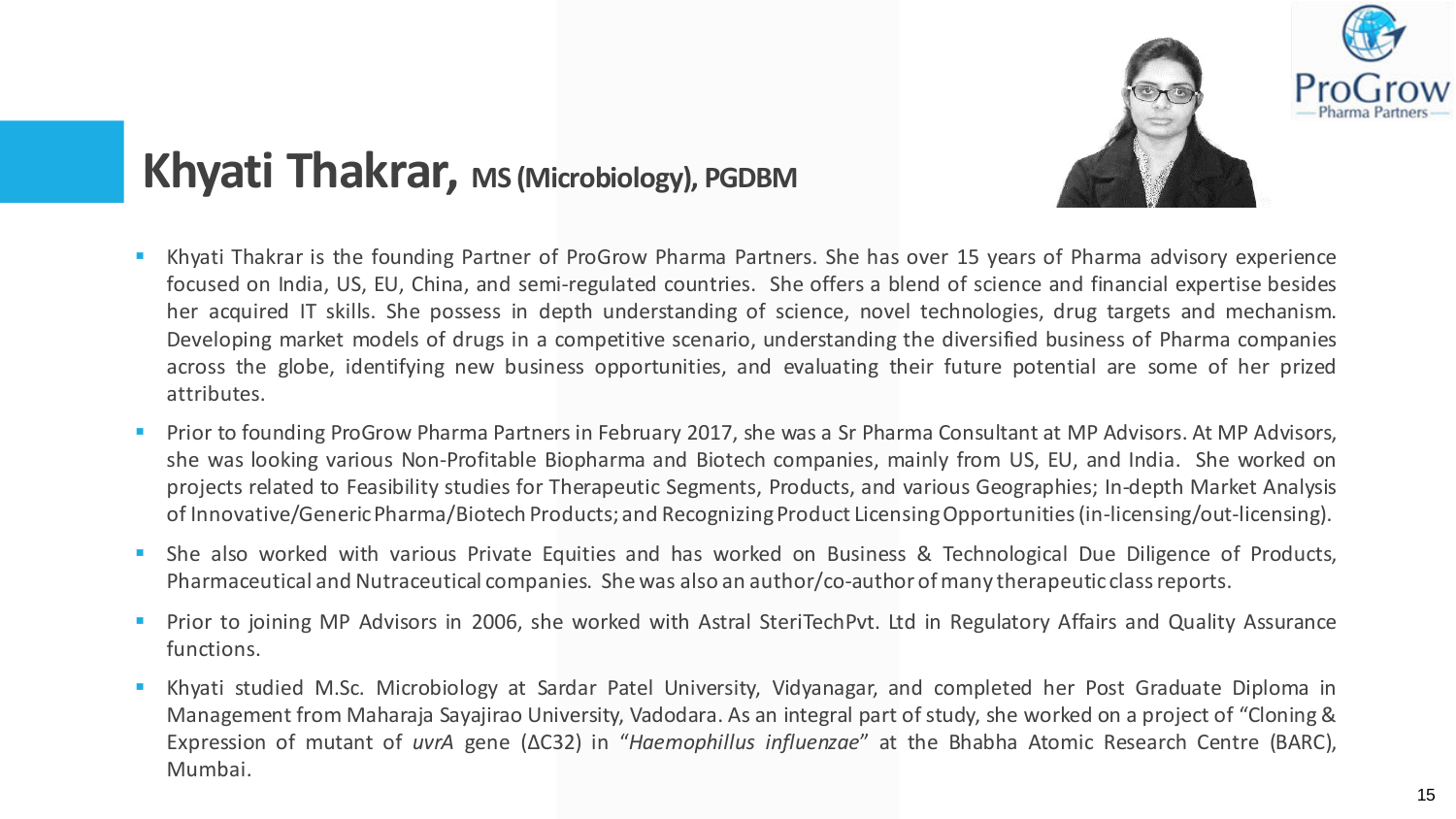

#### **Khyati Thakrar, MS (Microbiology), PGDBM**

- Khyati Thakrar is the founding Partner of ProGrow Pharma Partners. She has over 15 years of Pharma advisory experience focused on India, US, EU, China, and semi-regulated countries. She offers a blend of science and financial expertise besides her acquired IT skills. She possess in depth understanding of science, novel technologies, drug targets and mechanism. Developing market models of drugs in a competitive scenario, understanding the diversified business of Pharma companies across the globe, identifying new business opportunities, and evaluating their future potential are some of her prized attributes.
- **Prior to founding ProGrow Pharma Partners in February 2017, she was a Sr Pharma Consultant at MP Advisors. At MP Advisors,** she was looking various Non-Profitable Biopharma and Biotech companies, mainly from US, EU, and India. She worked on projects related to Feasibility studies for Therapeutic Segments, Products, and various Geographies; In-depth Market Analysis of Innovative/Generic Pharma/Biotech Products; and Recognizing Product Licensing Opportunities (in-licensing/out-licensing).
- She also worked with various Private Equities and has worked on Business & Technological Due Diligence of Products, Pharmaceutical and Nutraceutical companies. She was also an author/co-author of many therapeutic class reports.
- Prior to joining MP Advisors in 2006, she worked with Astral SteriTechPvt. Ltd in Regulatory Affairs and Quality Assurance functions.
- Khyati studied M.Sc. Microbiology at Sardar Patel University, Vidyanagar, and completed her Post Graduate Diploma in Management from Maharaja Sayajirao University, Vadodara. As an integral part of study, she worked on a project of "Cloning & Expression of mutant of *uvrA* gene (ΔC32) in "*Haemophillus influenzae*" at the Bhabha Atomic Research Centre (BARC), Mumbai.